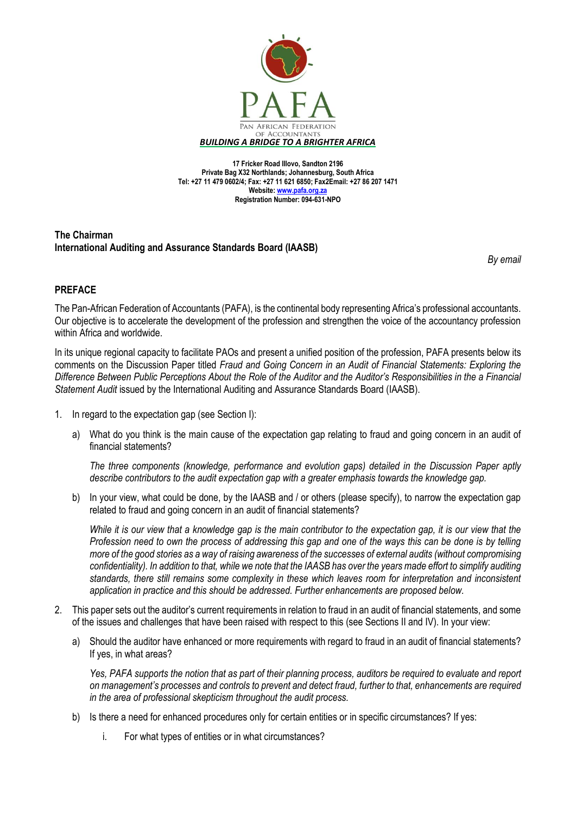

**17 Fricker Road Illovo, Sandton 2196 Private Bag X32 Northlands; Johannesburg, South Africa Tel: +27 11 479 0602/4; Fax: +27 11 621 6850; Fax2Email: +27 86 207 1471 Website[: www.pafa.org.za](http://www.pafa.org.za/) Registration Number: 094-631-NPO**

## **The Chairman International Auditing and Assurance Standards Board (IAASB)**

*By email*

## **PREFACE**

The Pan-African Federation of Accountants (PAFA), is the continental body representing Africa's professional accountants. Our objective is to accelerate the development of the profession and strengthen the voice of the accountancy profession within Africa and worldwide.

In its unique regional capacity to facilitate PAOs and present a unified position of the profession, PAFA presents below its comments on the Discussion Paper titled *Fraud and Going Concern in an Audit of Financial Statements: Exploring the Difference Between Public Perceptions About the Role of the Auditor and the Auditor's Responsibilities in the a Financial Statement Audit* issued by the International Auditing and Assurance Standards Board (IAASB).

- 1. In regard to the expectation gap (see Section I):
	- a) What do you think is the main cause of the expectation gap relating to fraud and going concern in an audit of financial statements?

*The three components (knowledge, performance and evolution gaps) detailed in the Discussion Paper aptly describe contributors to the audit expectation gap with a greater emphasis towards the knowledge gap.*

b) In your view, what could be done, by the IAASB and / or others (please specify), to narrow the expectation gap related to fraud and going concern in an audit of financial statements?

*While it is our view that a knowledge gap is the main contributor to the expectation gap, it is our view that the Profession need to own the process of addressing this gap and one of the ways this can be done is by telling more of the good stories as a way of raising awareness of the successes of external audits (without compromising confidentiality). In addition to that, while we note that the IAASB has over the years made effort to simplify auditing*  standards, there still remains some complexity in these which leaves room for interpretation and inconsistent *application in practice and this should be addressed. Further enhancements are proposed below.* 

- 2. This paper sets out the auditor's current requirements in relation to fraud in an audit of financial statements, and some of the issues and challenges that have been raised with respect to this (see Sections II and IV). In your view:
	- a) Should the auditor have enhanced or more requirements with regard to fraud in an audit of financial statements? If yes, in what areas?

*Yes, PAFA supports the notion that as part of their planning process, auditors be required to evaluate and report on management's processes and controls to prevent and detect fraud, further to that, enhancements are required in the area of professional skepticism throughout the audit process.* 

- b) Is there a need for enhanced procedures only for certain entities or in specific circumstances? If yes:
	- i. For what types of entities or in what circumstances?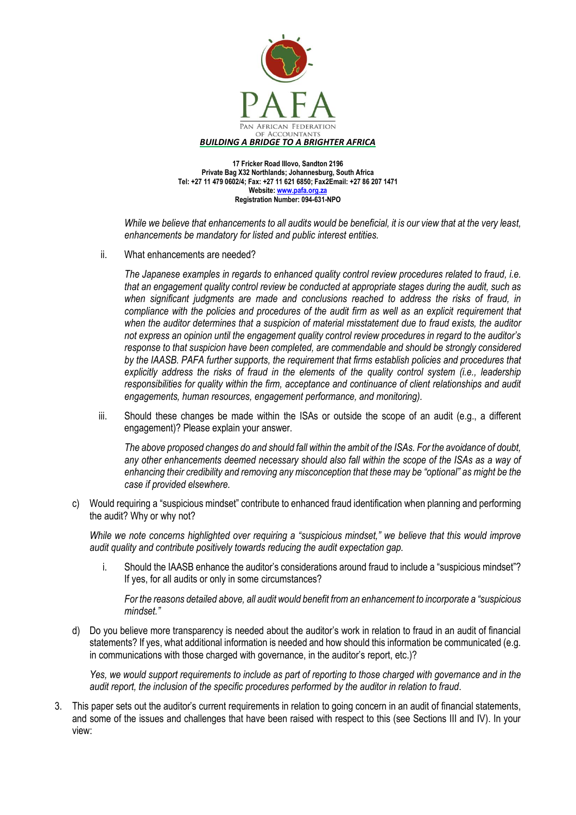

**17 Fricker Road Illovo, Sandton 2196 Private Bag X32 Northlands; Johannesburg, South Africa Tel: +27 11 479 0602/4; Fax: +27 11 621 6850; Fax2Email: +27 86 207 1471 Website[: www.pafa.org.za](http://www.pafa.org.za/) Registration Number: 094-631-NPO**

*While we believe that enhancements to all audits would be beneficial, it is our view that at the very least, enhancements be mandatory for listed and public interest entities.*

ii. What enhancements are needed?

*The Japanese examples in regards to enhanced quality control review procedures related to fraud, i.e. that an engagement quality control review be conducted at appropriate stages during the audit, such as when significant judgments are made and conclusions reached to address the risks of fraud, in compliance with the policies and procedures of the audit firm as well as an explicit requirement that when the auditor determines that a suspicion of material misstatement due to fraud exists, the auditor not express an opinion until the engagement quality control review procedures in regard to the auditor's response to that suspicion have been completed, are commendable and should be strongly considered by the IAASB. PAFA further supports, the requirement that firms establish policies and procedures that explicitly address the risks of fraud in the elements of the quality control system (i.e., leadership responsibilities for quality within the firm, acceptance and continuance of client relationships and audit engagements, human resources, engagement performance, and monitoring).*

iii. Should these changes be made within the ISAs or outside the scope of an audit (e.g., a different engagement)? Please explain your answer.

*The above proposed changes do and should fall within the ambit of the ISAs. For the avoidance of doubt, any other enhancements deemed necessary should also fall within the scope of the ISAs as a way of enhancing their credibility and removing any misconception that these may be "optional" as might be the case if provided elsewhere.*

c) Would requiring a "suspicious mindset" contribute to enhanced fraud identification when planning and performing the audit? Why or why not?

*While we note concerns highlighted over requiring a "suspicious mindset," we believe that this would improve audit quality and contribute positively towards reducing the audit expectation gap.*

i. Should the IAASB enhance the auditor's considerations around fraud to include a "suspicious mindset"? If yes, for all audits or only in some circumstances?

*For the reasons detailed above, all audit would benefit from an enhancement to incorporate a "suspicious mindset."* 

d) Do you believe more transparency is needed about the auditor's work in relation to fraud in an audit of financial statements? If yes, what additional information is needed and how should this information be communicated (e.g. in communications with those charged with governance, in the auditor's report, etc.)?

*Yes, we would support requirements to include as part of reporting to those charged with governance and in the audit report, the inclusion of the specific procedures performed by the auditor in relation to fraud*.

3. This paper sets out the auditor's current requirements in relation to going concern in an audit of financial statements, and some of the issues and challenges that have been raised with respect to this (see Sections III and IV). In your view: